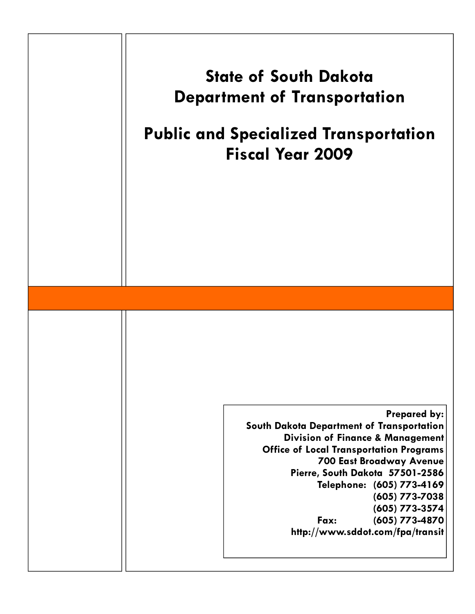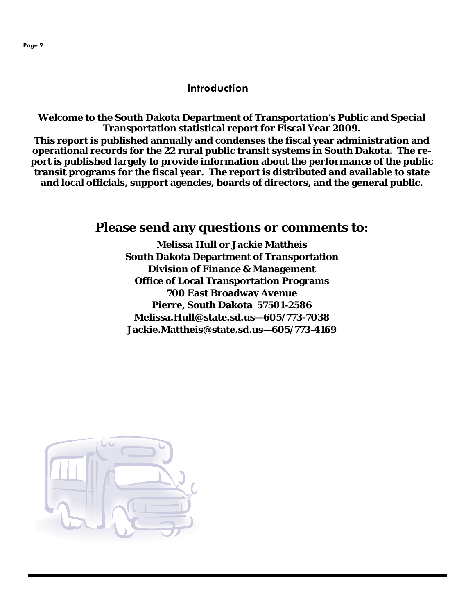#### **Introduction**

**Welcome to the South Dakota Department of Transportation's Public and Special Transportation statistical report for Fiscal Year 2009. This report is published annually and condenses the fiscal year administration and** 

**operational records for the 22 rural public transit systems in South Dakota. The report is published largely to provide information about the performance of the public transit programs for the fiscal year. The report is distributed and available to state and local officials, support agencies, boards of directors, and the general public.** 

## **Please send any questions or comments to:**

**Melissa Hull or Jackie Mattheis South Dakota Department of Transportation Division of Finance & Management Office of Local Transportation Programs 700 East Broadway Avenue Pierre, South Dakota 57501-2586 Melissa.Hull@state.sd.us—605/773-7038 Jackie.Mattheis@state.sd.us—605/773-4169** 

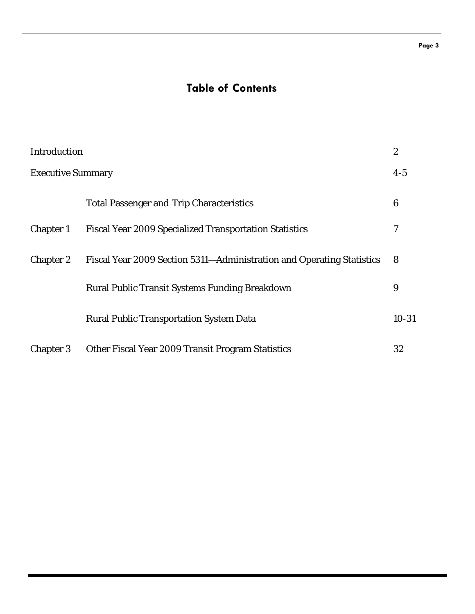# **Table of Contents**

| Introduction             |                                                                       | $\boldsymbol{2}$ |
|--------------------------|-----------------------------------------------------------------------|------------------|
| <b>Executive Summary</b> |                                                                       | $4-5$            |
|                          | <b>Total Passenger and Trip Characteristics</b>                       | 6                |
| <b>Chapter 1</b>         | <b>Fiscal Year 2009 Specialized Transportation Statistics</b>         | 7                |
| <b>Chapter 2</b>         | Fiscal Year 2009 Section 5311-Administration and Operating Statistics | 8                |
|                          | <b>Rural Public Transit Systems Funding Breakdown</b>                 | 9                |
|                          | <b>Rural Public Transportation System Data</b>                        | $10 - 31$        |
| <b>Chapter 3</b>         | Other Fiscal Year 2009 Transit Program Statistics                     | 32               |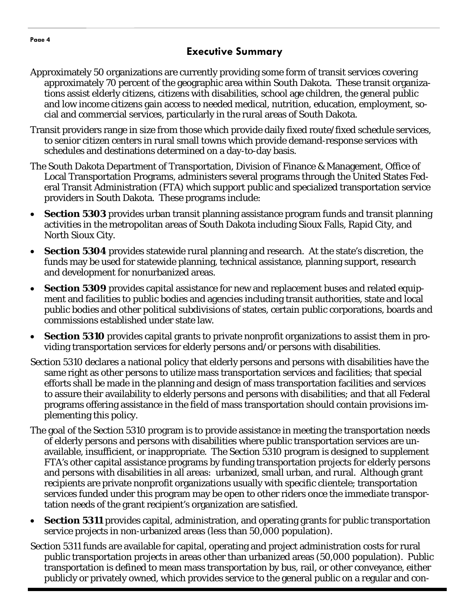### **Executive Summary**

- Approximately 50 organizations are currently providing some form of transit services covering approximately 70 percent of the geographic area within South Dakota. These transit organizations assist elderly citizens, citizens with disabilities, school age children, the general public and low income citizens gain access to needed medical, nutrition, education, employment, social and commercial services, particularly in the rural areas of South Dakota.
- Transit providers range in size from those which provide daily fixed route/fixed schedule services, to senior citizen centers in rural small towns which provide demand-response services with schedules and destinations determined on a day-to-day basis.
- The South Dakota Department of Transportation, Division of Finance & Management, Office of Local Transportation Programs, administers several programs through the United States Federal Transit Administration (FTA) which support public and specialized transportation service providers in South Dakota. These programs include:
- **Section 5303** provides urban transit planning assistance program funds and transit planning activities in the metropolitan areas of South Dakota including Sioux Falls, Rapid City, and North Sioux City.
- **Section 5304** provides statewide rural planning and research. At the state's discretion, the funds may be used for statewide planning, technical assistance, planning support, research and development for nonurbanized areas.
- **Section 5309** provides capital assistance for new and replacement buses and related equipment and facilities to public bodies and agencies including transit authorities, state and local public bodies and other political subdivisions of states, certain public corporations, boards and commissions established under state law.
- **Section 5310** provides capital grants to private nonprofit organizations to assist them in providing transportation services for elderly persons and/or persons with disabilities.
- Section 5310 declares a national policy that elderly persons and persons with disabilities have the same right as other persons to utilize mass transportation services and facilities; that special efforts shall be made in the planning and design of mass transportation facilities and services to assure their availability to elderly persons and persons with disabilities; and that all Federal programs offering assistance in the field of mass transportation should contain provisions implementing this policy.
- The goal of the Section 5310 program is to provide assistance in meeting the transportation needs of elderly persons and persons with disabilities where public transportation services are unavailable, insufficient, or inappropriate. The Section 5310 program is designed to supplement FTA's other capital assistance programs by funding transportation projects for elderly persons and persons with disabilities in all areas: urbanized, small urban, and rural. Although grant recipients are private nonprofit organizations usually with specific clientele; transportation services funded under this program may be open to other riders once the immediate transportation needs of the grant recipient's organization are satisfied.
- **Section 5311** provides capital, administration, and operating grants for public transportation service projects in non-urbanized areas (less than 50,000 population).
- Section 5311 funds are available for capital, operating and project administration costs for rural public transportation projects in areas other than urbanized areas (50,000 population). Public transportation is defined to mean mass transportation by bus, rail, or other conveyance, either publicly or privately owned, which provides service to the general public on a regular and con-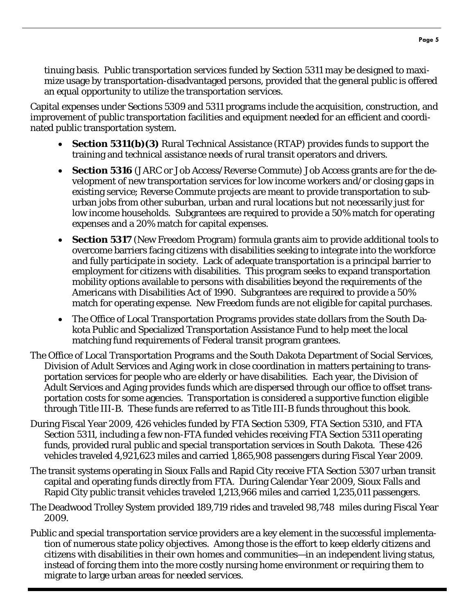tinuing basis. Public transportation services funded by Section 5311 may be designed to maximize usage by transportation-disadvantaged persons, provided that the general public is offered an equal opportunity to utilize the transportation services.

Capital expenses under Sections 5309 and 5311 programs include the acquisition, construction, and improvement of public transportation facilities and equipment needed for an efficient and coordinated public transportation system.

- **Section 5311(b)(3)** Rural Technical Assistance (RTAP) provides funds to support the training and technical assistance needs of rural transit operators and drivers.
- **Section 5316** (JARC or Job Access/Reverse Commute) Job Access grants are for the development of new transportation services for low income workers and/or closing gaps in existing service; Reverse Commute projects are meant to provide transportation to suburban jobs from other suburban, urban and rural locations but not necessarily just for low income households. Subgrantees are required to provide a 50% match for operating expenses and a 20% match for capital expenses.
- **Section 5317** (New Freedom Program) formula grants aim to provide additional tools to overcome barriers facing citizens with disabilities seeking to integrate into the workforce and fully participate in society. Lack of adequate transportation is a principal barrier to employment for citizens with disabilities. This program seeks to expand transportation mobility options available to persons with disabilities beyond the requirements of the Americans with Disabilities Act of 1990. Subgrantees are required to provide a 50% match for operating expense. New Freedom funds are not eligible for capital purchases.
- The Office of Local Transportation Programs provides state dollars from the South Dakota Public and Specialized Transportation Assistance Fund to help meet the local matching fund requirements of Federal transit program grantees.
- The Office of Local Transportation Programs and the South Dakota Department of Social Services, Division of Adult Services and Aging work in close coordination in matters pertaining to transportation services for people who are elderly or have disabilities. Each year, the Division of Adult Services and Aging provides funds which are dispersed through our office to offset transportation costs for some agencies. Transportation is considered a supportive function eligible through Title III-B. These funds are referred to as Title III-B funds throughout this book.
- During Fiscal Year 2009, 426 vehicles funded by FTA Section 5309, FTA Section 5310, and FTA Section 5311, including a few non-FTA funded vehicles receiving FTA Section 5311 operating funds, provided rural public and special transportation services in South Dakota. These 426 vehicles traveled 4,921,623 miles and carried 1,865,908 passengers during Fiscal Year 2009.
- The transit systems operating in Sioux Falls and Rapid City receive FTA Section 5307 urban transit capital and operating funds directly from FTA. During Calendar Year 2009, Sioux Falls and Rapid City public transit vehicles traveled 1,213,966 miles and carried 1,235,011 passengers.
- The Deadwood Trolley System provided 189,719 rides and traveled 98,748 miles during Fiscal Year 2009.
- Public and special transportation service providers are a key element in the successful implementation of numerous state policy objectives. Among those is the effort to keep elderly citizens and citizens with disabilities in their own homes and communities—in an independent living status, instead of forcing them into the more costly nursing home environment or requiring them to migrate to large urban areas for needed services.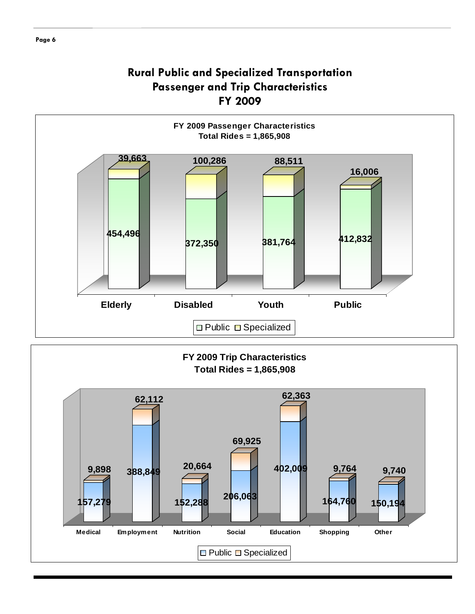## **Rural Public and Specialized Transportation Passenger and Trip Characteristics FY 2009**

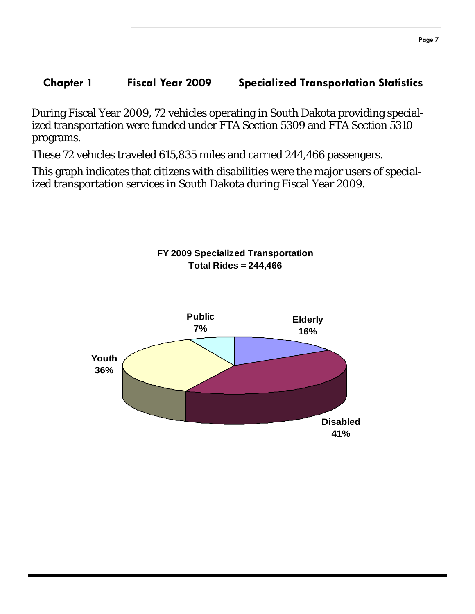## **Chapter 1 Fiscal Year 2009 Specialized Transportation Statistics**

During Fiscal Year 2009, 72 vehicles operating in South Dakota providing specialized transportation were funded under FTA Section 5309 and FTA Section 5310 programs.

These 72 vehicles traveled 615,835 miles and carried 244,466 passengers.

This graph indicates that citizens with disabilities were the major users of specialized transportation services in South Dakota during Fiscal Year 2009.

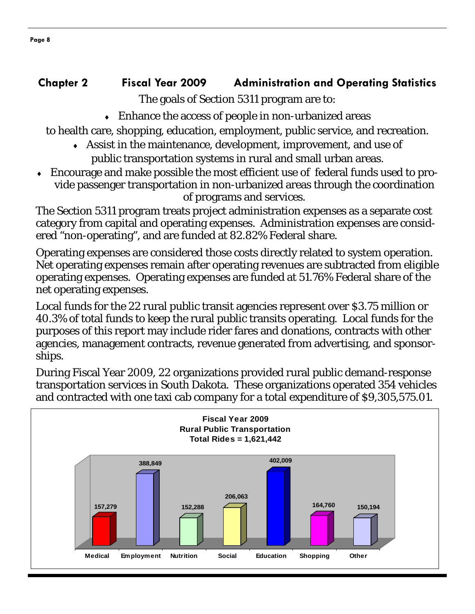# **Chapter 2 Fiscal Year 2009 Administration and Operating Statistics**

The goals of Section 5311 program are to:

 $\bullet$  Enhance the access of people in non-urbanized areas

to health care, shopping, education, employment, public service, and recreation.

- ♦ Assist in the maintenance, development, improvement, and use of public transportation systems in rural and small urban areas.
- Encourage and make possible the most efficient use of federal funds used to provide passenger transportation in non-urbanized areas through the coordination of programs and services.

The Section 5311 program treats project administration expenses as a separate cost category from capital and operating expenses. Administration expenses are considered "non-operating", and are funded at 82.82% Federal share.

Operating expenses are considered those costs directly related to system operation. Net operating expenses remain after operating revenues are subtracted from eligible operating expenses. Operating expenses are funded at 51.76% Federal share of the net operating expenses.

Local funds for the 22 rural public transit agencies represent over \$3.75 million or 40.3% of total funds to keep the rural public transits operating. Local funds for the purposes of this report may include rider fares and donations, contracts with other agencies, management contracts, revenue generated from advertising, and sponsorships.

During Fiscal Year 2009, 22 organizations provided rural public demand-response transportation services in South Dakota. These organizations operated 354 vehicles and contracted with one taxi cab company for a total expenditure of \$9,305,575.01.

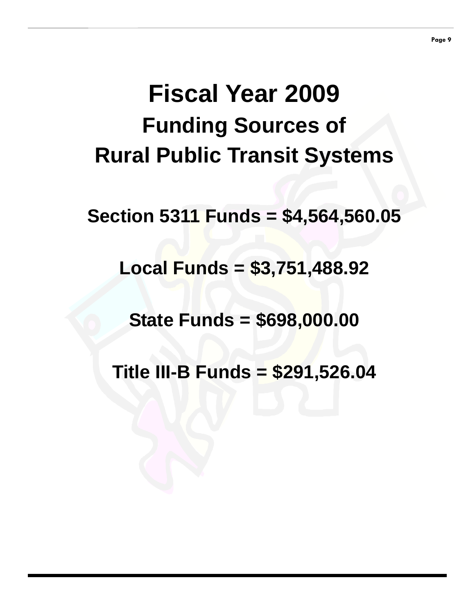# **Fiscal Year 2009 Funding Sources of Rural Public Transit Systems**

**Section 5311 Funds = \$4,564,560.05** 

**Local Funds = \$3,751,488.92** 

**State Funds = \$698,000.00** 

**Title III-B Funds = \$291,526.04**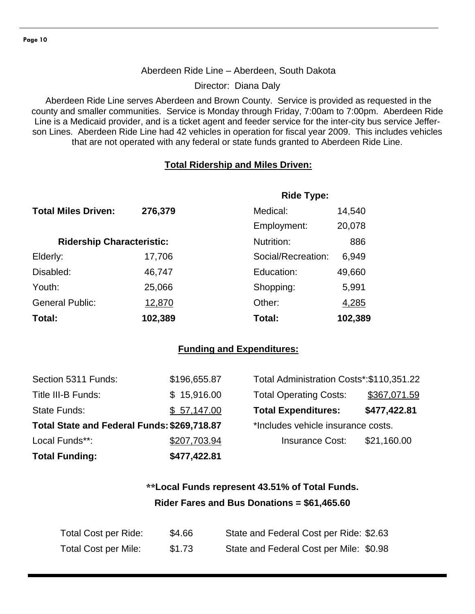#### Aberdeen Ride Line – Aberdeen, South Dakota

Director: Diana Daly

Aberdeen Ride Line serves Aberdeen and Brown County. Service is provided as requested in the county and smaller communities. Service is Monday through Friday, 7:00am to 7:00pm. Aberdeen Ride Line is a Medicaid provider, and is a ticket agent and feeder service for the inter-city bus service Jefferson Lines. Aberdeen Ride Line had 42 vehicles in operation for fiscal year 2009. This includes vehicles that are not operated with any federal or state funds granted to Aberdeen Ride Line.

#### **Total Ridership and Miles Driven:**

|                                  |         | <b>Ride Type:</b>  |         |
|----------------------------------|---------|--------------------|---------|
| <b>Total Miles Driven:</b>       | 276,379 | Medical:           | 14,540  |
|                                  |         | Employment:        | 20,078  |
| <b>Ridership Characteristic:</b> |         | Nutrition:         | 886     |
| Elderly:                         | 17,706  | Social/Recreation: | 6,949   |
| Disabled:                        | 46,747  | Education:         | 49,660  |
| Youth:                           | 25,066  | Shopping:          | 5,991   |
| <b>General Public:</b>           | 12,870  | Other:             | 4,285   |
| Total:                           | 102,389 | Total:             | 102,389 |

#### **Funding and Expenditures:**

| <b>Total Funding:</b>                       | \$477,422.81 |                                           |              |
|---------------------------------------------|--------------|-------------------------------------------|--------------|
| Local Funds**:                              | \$207,703.94 | <b>Insurance Cost:</b>                    | \$21,160.00  |
| Total State and Federal Funds: \$269,718.87 |              | *Includes vehicle insurance costs.        |              |
| <b>State Funds:</b>                         | \$57,147.00  | <b>Total Expenditures:</b>                | \$477,422.81 |
| Title III-B Funds:                          | \$15,916.00  | <b>Total Operating Costs:</b>             | \$367,071.59 |
| Section 5311 Funds:                         | \$196,655.87 | Total Administration Costs*: \$110,351.22 |              |

| Total Administration Costs*: \$110,351.22 |              |
|-------------------------------------------|--------------|
| <b>Total Operating Costs:</b>             | \$367,071.59 |
| <b>Total Expenditures:</b>                | \$477,422.81 |
| *Includes vehicle insurance costs.        |              |
| <b>Insurance Cost:</b>                    | \$21,160.00  |
|                                           |              |

## **\*\*Local Funds represent 43.51% of Total Funds. Rider Fares and Bus Donations = \$61,465.60**

| Total Cost per Ride:        | \$4.66 | State and Federal Cost per Ride: \$2.63 |
|-----------------------------|--------|-----------------------------------------|
| <b>Total Cost per Mile:</b> | \$1.73 | State and Federal Cost per Mile: \$0.98 |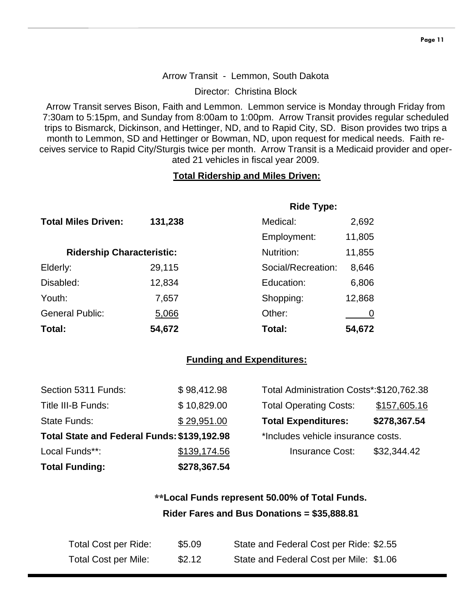#### Arrow Transit - Lemmon, South Dakota

Director: Christina Block

Arrow Transit serves Bison, Faith and Lemmon. Lemmon service is Monday through Friday from 7:30am to 5:15pm, and Sunday from 8:00am to 1:00pm. Arrow Transit provides regular scheduled trips to Bismarck, Dickinson, and Hettinger, ND, and to Rapid City, SD. Bison provides two trips a month to Lemmon, SD and Hettinger or Bowman, ND, upon request for medical needs. Faith receives service to Rapid City/Sturgis twice per month. Arrow Transit is a Medicaid provider and operated 21 vehicles in fiscal year 2009.

#### **Total Ridership and Miles Driven:**

|                                  |         | <b>Ride Type:</b>  |        |
|----------------------------------|---------|--------------------|--------|
| <b>Total Miles Driven:</b>       | 131,238 | Medical:           | 2,692  |
|                                  |         | Employment:        | 11,805 |
| <b>Ridership Characteristic:</b> |         | Nutrition:         | 11,855 |
| Elderly:                         | 29,115  | Social/Recreation: | 8,646  |
| Disabled:                        | 12,834  | Education:         | 6,806  |
| Youth:                           | 7,657   | Shopping:          | 12,868 |
| <b>General Public:</b>           | 5,066   | Other:             |        |
| Total:                           | 54,672  | Total:             | 54,672 |

#### **Funding and Expenditures:**

| <b>Total Funding:</b>                       | \$278,367.54 |                                          |              |
|---------------------------------------------|--------------|------------------------------------------|--------------|
| Local Funds**:                              | \$139,174.56 | <b>Insurance Cost:</b>                   | \$32,344.42  |
| Total State and Federal Funds: \$139,192.98 |              | *Includes vehicle insurance costs.       |              |
| State Funds:                                | \$29,951.00  | <b>Total Expenditures:</b>               | \$278,367.54 |
| Title III-B Funds:                          | \$10,829.00  | <b>Total Operating Costs:</b>            | \$157,605.16 |
| Section 5311 Funds:                         | \$98,412.98  | Total Administration Costs*:\$120,762.38 |              |

## **\*\*Local Funds represent 50.00% of Total Funds. Rider Fares and Bus Donations = \$35,888.81**

| Total Cost per Ride:        | \$5.09 | State and Federal Cost per Ride: \$2.55 |
|-----------------------------|--------|-----------------------------------------|
| <b>Total Cost per Mile:</b> | \$2.12 | State and Federal Cost per Mile: \$1.06 |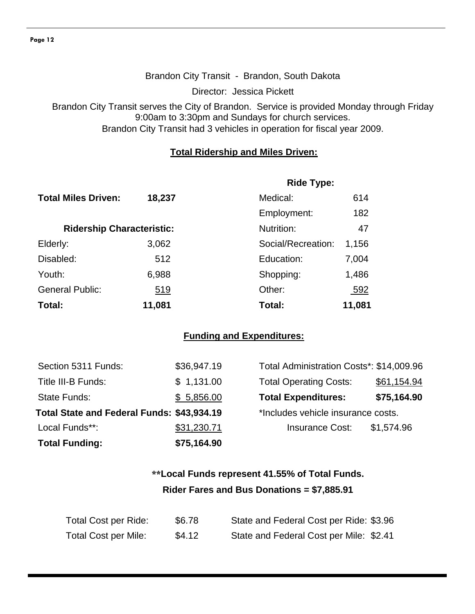#### Brandon City Transit - Brandon, South Dakota

Director: Jessica Pickett

Brandon City Transit serves the City of Brandon. Service is provided Monday through Friday 9:00am to 3:30pm and Sundays for church services. Brandon City Transit had 3 vehicles in operation for fiscal year 2009.

#### **Total Ridership and Miles Driven:**

|                                  |            | <b>Ride Type:</b>  |        |
|----------------------------------|------------|--------------------|--------|
| <b>Total Miles Driven:</b>       | 18,237     | Medical:           | 614    |
|                                  |            | Employment:        | 182    |
| <b>Ridership Characteristic:</b> |            | Nutrition:         | 47     |
| Elderly:                         | 3,062      | Social/Recreation: | 1,156  |
| Disabled:                        | 512        | Education:         | 7,004  |
| Youth:                           | 6,988      | Shopping:          | 1,486  |
| <b>General Public:</b>           | <u>519</u> | Other:             | 592    |
| Total:                           | 11,081     | Total:             | 11,081 |

#### **Funding and Expenditures:**

| <b>Total Funding:</b>                      | \$75,164.90 |                                          |             |
|--------------------------------------------|-------------|------------------------------------------|-------------|
| Local Funds**:                             | \$31,230.71 | <b>Insurance Cost:</b>                   | \$1,574.96  |
| Total State and Federal Funds: \$43,934.19 |             | *Includes vehicle insurance costs.       |             |
| <b>State Funds:</b>                        | \$5,856.00  | <b>Total Expenditures:</b>               | \$75,164.90 |
| Title III-B Funds:                         | \$1,131.00  | <b>Total Operating Costs:</b>            | \$61,154.94 |
| Section 5311 Funds:                        | \$36,947.19 | Total Administration Costs*: \$14,009.96 |             |

## **\*\*Local Funds represent 41.55% of Total Funds. Rider Fares and Bus Donations = \$7,885.91**

| Total Cost per Ride: | \$6.78 | State and Federal Cost per Ride: \$3.96 |
|----------------------|--------|-----------------------------------------|
| Total Cost per Mile: | \$4.12 | State and Federal Cost per Mile: \$2.41 |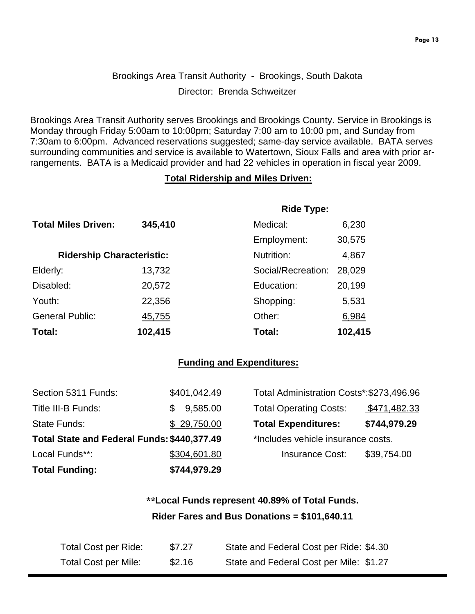## Brookings Area Transit Authority - Brookings, South Dakota Director: Brenda Schweitzer

Brookings Area Transit Authority serves Brookings and Brookings County. Service in Brookings is Monday through Friday 5:00am to 10:00pm; Saturday 7:00 am to 10:00 pm, and Sunday from 7:30am to 6:00pm. Advanced reservations suggested; same-day service available. BATA serves surrounding communities and service is available to Watertown, Sioux Falls and area with prior arrangements. BATA is a Medicaid provider and had 22 vehicles in operation in fiscal year 2009.

#### **Total Ridership and Miles Driven:**

|                                  |         | <b>Ride Type:</b>  |         |
|----------------------------------|---------|--------------------|---------|
| <b>Total Miles Driven:</b>       | 345,410 | Medical:           | 6,230   |
|                                  |         | Employment:        | 30,575  |
| <b>Ridership Characteristic:</b> |         | Nutrition:         | 4,867   |
| Elderly:                         | 13,732  | Social/Recreation: | 28,029  |
| Disabled:                        | 20,572  | Education:         | 20,199  |
| Youth:                           | 22,356  | Shopping:          | 5,531   |
| <b>General Public:</b>           | 45,755  | Other:             | 6,984   |
| Total:                           | 102,415 | Total:             | 102,415 |

#### **Funding and Expenditures:**

| <b>Total Funding:</b>                       | \$744,979.29 |                                          |              |
|---------------------------------------------|--------------|------------------------------------------|--------------|
| Local Funds**:                              | \$304,601.80 | <b>Insurance Cost:</b>                   | \$39,754.00  |
| Total State and Federal Funds: \$440,377.49 |              | *Includes vehicle insurance costs.       |              |
| State Funds:                                | \$29,750.00  | <b>Total Expenditures:</b>               | \$744,979.29 |
| Title III-B Funds:                          | 9,585.00     | <b>Total Operating Costs:</b>            | \$471,482.33 |
| Section 5311 Funds:                         | \$401,042.49 | Total Administration Costs*:\$273,496.96 |              |

## **\*\*Local Funds represent 40.89% of Total Funds. Rider Fares and Bus Donations = \$101,640.11**

| Total Cost per Ride: | \$7.27 | State and Federal Cost per Ride: \$4.30 |
|----------------------|--------|-----------------------------------------|
| Total Cost per Mile: | \$2.16 | State and Federal Cost per Mile: \$1.27 |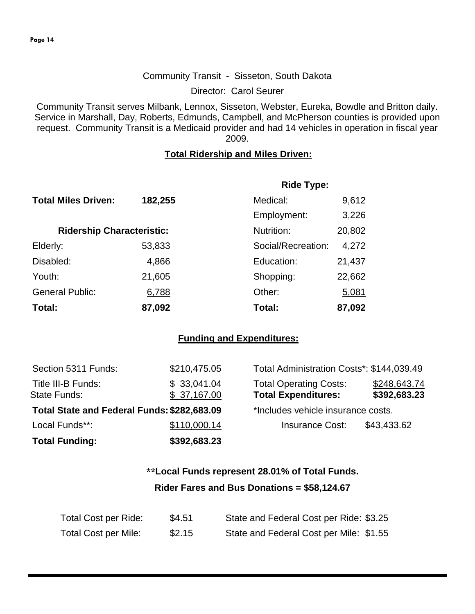#### Community Transit - Sisseton, South Dakota

Director: Carol Seurer

Community Transit serves Milbank, Lennox, Sisseton, Webster, Eureka, Bowdle and Britton daily. Service in Marshall, Day, Roberts, Edmunds, Campbell, and McPherson counties is provided upon request. Community Transit is a Medicaid provider and had 14 vehicles in operation in fiscal year 2009.

#### **Total Ridership and Miles Driven:**

|                                  |         | <b>Ride Type:</b>  |        |
|----------------------------------|---------|--------------------|--------|
| <b>Total Miles Driven:</b>       | 182,255 | Medical:           | 9,612  |
|                                  |         | Employment:        | 3,226  |
| <b>Ridership Characteristic:</b> |         | Nutrition:         | 20,802 |
| Elderly:                         | 53,833  | Social/Recreation: | 4,272  |
| Disabled:                        | 4,866   | Education:         | 21,437 |
| Youth:                           | 21,605  | Shopping:          | 22,662 |
| <b>General Public:</b>           | 6,788   | Other:             | 5,081  |
| Total:                           | 87,092  | Total:             | 87,092 |

#### **Funding and Expenditures:**

| Section 5311 Funds:                         | \$210,475.05               | Total Administration Costs*: \$144,039.49                   |                              |
|---------------------------------------------|----------------------------|-------------------------------------------------------------|------------------------------|
| Title III-B Funds:<br><b>State Funds:</b>   | \$33,041.04<br>\$37,167.00 | <b>Total Operating Costs:</b><br><b>Total Expenditures:</b> | \$248,643.74<br>\$392,683.23 |
| Total State and Federal Funds: \$282,683.09 |                            | *Includes vehicle insurance costs.                          |                              |
| Local Funds**:                              | \$110,000.14               | <b>Insurance Cost:</b>                                      | \$43,433.62                  |
| <b>Total Funding:</b>                       | \$392,683.23               |                                                             |                              |

## **\*\*Local Funds represent 28.01% of Total Funds. Rider Fares and Bus Donations = \$58,124.67**

| Total Cost per Ride:        | \$4.51 | State and Federal Cost per Ride: \$3.25 |
|-----------------------------|--------|-----------------------------------------|
| <b>Total Cost per Mile:</b> | \$2.15 | State and Federal Cost per Mile: \$1.55 |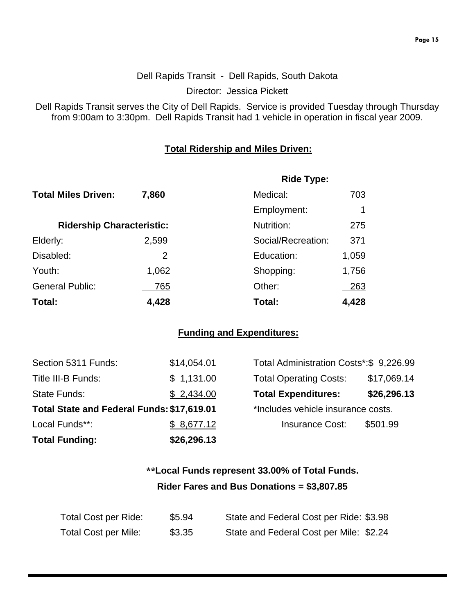## Dell Rapids Transit - Dell Rapids, South Dakota

Director: Jessica Pickett

Dell Rapids Transit serves the City of Dell Rapids. Service is provided Tuesday through Thursday from 9:00am to 3:30pm. Dell Rapids Transit had 1 vehicle in operation in fiscal year 2009.

#### **Total Ridership and Miles Driven:**

|                                  |       | <b>Ride Type:</b>  |       |
|----------------------------------|-------|--------------------|-------|
| <b>Total Miles Driven:</b>       | 7,860 | Medical:           | 703   |
|                                  |       | Employment:        |       |
| <b>Ridership Characteristic:</b> |       | Nutrition:         | 275   |
| Elderly:                         | 2,599 | Social/Recreation: | 371   |
| Disabled:                        | 2     | Education:         | 1,059 |
| Youth:                           | 1,062 | Shopping:          | 1,756 |
| <b>General Public:</b>           | 765   | Other:             | 263   |
| Total:                           | 4,428 | Total:             | 4,428 |

#### **Funding and Expenditures:**

| <b>Total Funding:</b>                      | \$26,296.13 |                                         |             |
|--------------------------------------------|-------------|-----------------------------------------|-------------|
| Local Funds**:                             | \$8,677.12  | <b>Insurance Cost:</b>                  | \$501.99    |
| Total State and Federal Funds: \$17,619.01 |             | *Includes vehicle insurance costs.      |             |
| <b>State Funds:</b>                        | \$2,434.00  | <b>Total Expenditures:</b>              | \$26,296.13 |
| Title III-B Funds:                         | \$1,131.00  | <b>Total Operating Costs:</b>           | \$17,069.14 |
| Section 5311 Funds:                        | \$14,054.01 | Total Administration Costs*:\$ 9,226.99 |             |

| Total Administration Costs*: \$9,226.99 |             |
|-----------------------------------------|-------------|
| <b>Total Operating Costs:</b>           | \$17,069.14 |
| <b>Total Expenditures:</b>              | \$26,296.13 |
| *Includes vehicle insurance costs.      |             |
| <b>Insurance Cost:</b>                  | \$501.99    |
|                                         |             |

## **\*\*Local Funds represent 33.00% of Total Funds. Rider Fares and Bus Donations = \$3,807.85**

| Total Cost per Ride:        | \$5.94 | State and Federal Cost per Ride: \$3.98 |
|-----------------------------|--------|-----------------------------------------|
| <b>Total Cost per Mile:</b> | \$3.35 | State and Federal Cost per Mile: \$2.24 |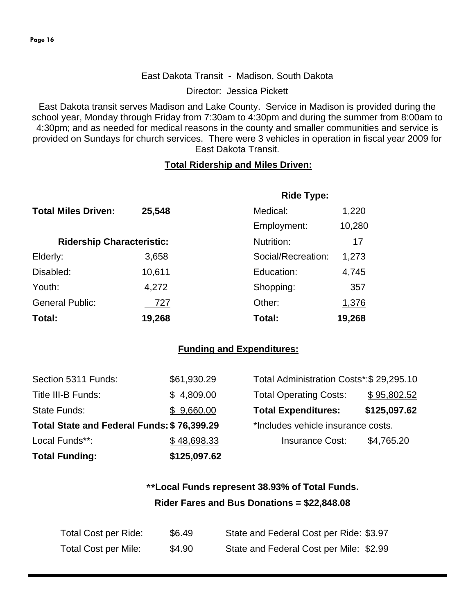#### East Dakota Transit - Madison, South Dakota

Director: Jessica Pickett

East Dakota transit serves Madison and Lake County. Service in Madison is provided during the school year, Monday through Friday from 7:30am to 4:30pm and during the summer from 8:00am to 4:30pm; and as needed for medical reasons in the county and smaller communities and service is provided on Sundays for church services. There were 3 vehicles in operation in fiscal year 2009 for East Dakota Transit.

#### **Total Ridership and Miles Driven:**

|                                  |        | <b>Ride Type:</b>  |        |
|----------------------------------|--------|--------------------|--------|
| <b>Total Miles Driven:</b>       | 25,548 | Medical:           | 1,220  |
|                                  |        | Employment:        | 10,280 |
| <b>Ridership Characteristic:</b> |        | Nutrition:         | 17     |
| Elderly:                         | 3,658  | Social/Recreation: | 1,273  |
| Disabled:                        | 10,611 | Education:         | 4,745  |
| Youth:                           | 4,272  | Shopping:          | 357    |
| <b>General Public:</b>           | 727    | Other:             | 1,376  |
| Total:                           | 19,268 | Total:             | 19,268 |

#### **Funding and Expenditures:**

| <b>Total Funding:</b>                      | \$125,097.62 |                                          |              |
|--------------------------------------------|--------------|------------------------------------------|--------------|
| Local Funds**:                             | \$48,698.33  | <b>Insurance Cost:</b>                   | \$4,765.20   |
| Total State and Federal Funds: \$76,399.29 |              | *Includes vehicle insurance costs.       |              |
| State Funds:                               | \$9,660.00   | <b>Total Expenditures:</b>               | \$125,097.62 |
| Title III-B Funds:                         | \$4,809.00   | <b>Total Operating Costs:</b>            | \$95,802.52  |
| Section 5311 Funds:                        | \$61,930.29  | Total Administration Costs*: \$29,295.10 |              |

| Total Administration Costs*: \$29,295.10 |              |  |  |  |
|------------------------------------------|--------------|--|--|--|
| <b>Total Operating Costs:</b>            | \$95,802.52  |  |  |  |
| <b>Total Expenditures:</b>               | \$125,097.62 |  |  |  |
| *Includes vehicle insurance costs.       |              |  |  |  |
| <b>Insurance Cost:</b>                   | \$4,765.20   |  |  |  |
|                                          |              |  |  |  |

## **\*\*Local Funds represent 38.93% of Total Funds. Rider Fares and Bus Donations = \$22,848.08**

| Total Cost per Ride:        | \$6.49 | State and Federal Cost per Ride: \$3.97 |
|-----------------------------|--------|-----------------------------------------|
| <b>Total Cost per Mile:</b> | \$4.90 | State and Federal Cost per Mile: \$2.99 |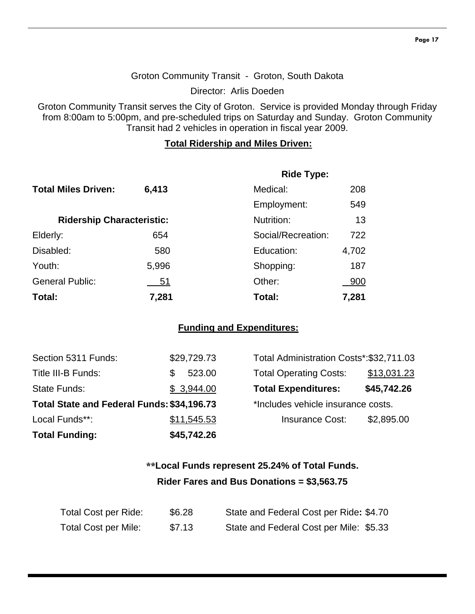#### Groton Community Transit - Groton, South Dakota

Director: Arlis Doeden

Groton Community Transit serves the City of Groton. Service is provided Monday through Friday from 8:00am to 5:00pm, and pre-scheduled trips on Saturday and Sunday. Groton Community Transit had 2 vehicles in operation in fiscal year 2009.

#### **Total Ridership and Miles Driven:**

|                                  |       | <b>Ride Type:</b>  |       |  |
|----------------------------------|-------|--------------------|-------|--|
| <b>Total Miles Driven:</b>       | 6,413 | Medical:           | 208   |  |
|                                  |       | Employment:        | 549   |  |
| <b>Ridership Characteristic:</b> |       | Nutrition:         | 13    |  |
| Elderly:                         | 654   | Social/Recreation: | 722   |  |
| Disabled:                        | 580   | Education:         | 4,702 |  |
| Youth:                           | 5,996 | Shopping:          | 187   |  |
| <b>General Public:</b>           | 51    | Other:             | 900   |  |
| Total:                           | 7,281 | Total:             | 7,281 |  |

#### **Funding and Expenditures:**

| <b>Total Funding:</b>                      | \$45,742.26 |                                          |             |
|--------------------------------------------|-------------|------------------------------------------|-------------|
| Local Funds**:                             | \$11,545.53 | <b>Insurance Cost:</b>                   | \$2,895.00  |
| Total State and Federal Funds: \$34,196.73 |             | *Includes vehicle insurance costs.       |             |
| <b>State Funds:</b>                        | \$3,944.00  | <b>Total Expenditures:</b>               | \$45,742.26 |
| Title III-B Funds:                         | 523.00      | <b>Total Operating Costs:</b>            | \$13,031.23 |
| Section 5311 Funds:                        | \$29,729.73 | Total Administration Costs*: \$32,711.03 |             |

| Total Administration Costs*:\$32,711.03 |             |
|-----------------------------------------|-------------|
| <b>Total Operating Costs:</b>           | \$13,031.23 |
| <b>Total Expenditures:</b>              | \$45,742.26 |
| *Includes vehicle insurance costs.      |             |
| <b>Insurance Cost:</b>                  | \$2,895.00  |
|                                         |             |

## **\*\*Local Funds represent 25.24% of Total Funds. Rider Fares and Bus Donations = \$3,563.75**

| Total Cost per Ride:        | \$6.28 | State and Federal Cost per Ride: \$4.70 |
|-----------------------------|--------|-----------------------------------------|
| <b>Total Cost per Mile:</b> | \$7.13 | State and Federal Cost per Mile: \$5.33 |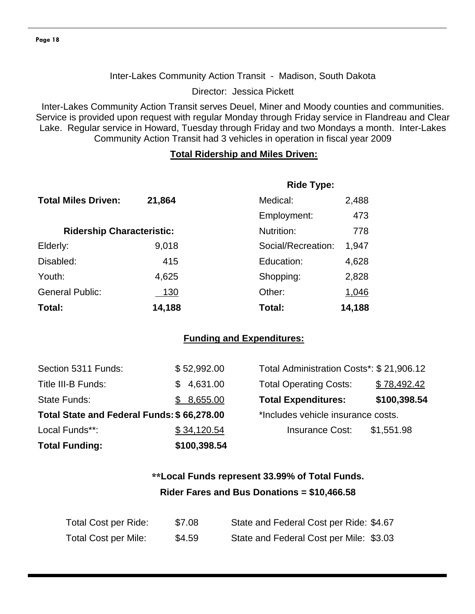#### Inter-Lakes Community Action Transit - Madison, South Dakota

Director: Jessica Pickett

Inter-Lakes Community Action Transit serves Deuel, Miner and Moody counties and communities. Service is provided upon request with regular Monday through Friday service in Flandreau and Clear Lake. Regular service in Howard, Tuesday through Friday and two Mondays a month. Inter-Lakes Community Action Transit had 3 vehicles in operation in fiscal year 2009

#### **Total Ridership and Miles Driven:**

|                                  |             | <b>Ride Type:</b>  |        |
|----------------------------------|-------------|--------------------|--------|
| <b>Total Miles Driven:</b>       | 21,864      | Medical:           | 2,488  |
|                                  |             | Employment:        | 473    |
| <b>Ridership Characteristic:</b> |             | Nutrition:         | 778    |
| Elderly:                         | 9,018       | Social/Recreation: | 1,947  |
| Disabled:                        | 415         | Education:         | 4,628  |
| Youth:                           | 4,625       | Shopping:          | 2,828  |
| <b>General Public:</b>           | <u> 130</u> | Other:             | 1,046  |
| Total:                           | 14,188      | Total:             | 14,188 |

#### **Funding and Expenditures:**

| <b>Total Funding:</b>                      | \$100,398.54 |                                          |              |
|--------------------------------------------|--------------|------------------------------------------|--------------|
| Local Funds**:                             | \$34,120.54  | <b>Insurance Cost:</b>                   | \$1,551.98   |
| Total State and Federal Funds: \$66,278.00 |              | *Includes vehicle insurance costs.       |              |
| <b>State Funds:</b>                        | \$8,655.00   | <b>Total Expenditures:</b>               | \$100,398.54 |
| Title III-B Funds:                         | \$4,631.00   | <b>Total Operating Costs:</b>            | \$78,492.42  |
| Section 5311 Funds:                        | \$52,992.00  | Total Administration Costs*: \$21,906.12 |              |

## **\*\*Local Funds represent 33.99% of Total Funds. Rider Fares and Bus Donations = \$10,466.58**

| Total Cost per Ride:        | \$7.08 | State and Federal Cost per Ride: \$4.67 |
|-----------------------------|--------|-----------------------------------------|
| <b>Total Cost per Mile:</b> | \$4.59 | State and Federal Cost per Mile: \$3.03 |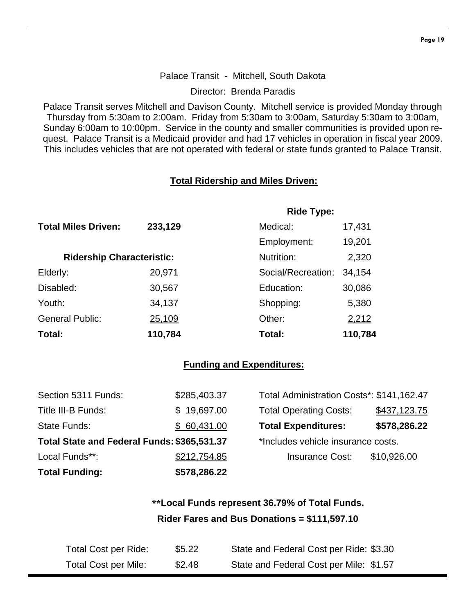#### Palace Transit - Mitchell, South Dakota

Director: Brenda Paradis

Palace Transit serves Mitchell and Davison County. Mitchell service is provided Monday through Thursday from 5:30am to 2:00am. Friday from 5:30am to 3:00am, Saturday 5:30am to 3:00am, Sunday 6:00am to 10:00pm. Service in the county and smaller communities is provided upon request. Palace Transit is a Medicaid provider and had 17 vehicles in operation in fiscal year 2009. This includes vehicles that are not operated with federal or state funds granted to Palace Transit.

#### **Total Ridership and Miles Driven:**

|                                  |         | <b>Ride Type:</b>  |         |  |
|----------------------------------|---------|--------------------|---------|--|
| <b>Total Miles Driven:</b>       | 233,129 | Medical:           | 17,431  |  |
|                                  |         | Employment:        | 19,201  |  |
| <b>Ridership Characteristic:</b> |         | Nutrition:         | 2,320   |  |
| Elderly:                         | 20,971  | Social/Recreation: | 34,154  |  |
| Disabled:                        | 30,567  | Education:         | 30,086  |  |
| Youth:                           | 34,137  | Shopping:          | 5,380   |  |
| <b>General Public:</b>           | 25,109  | Other:             | 2,212   |  |
| Total:                           | 110,784 | Total:             | 110,784 |  |

#### **Funding and Expenditures:**

| Section 5311 Funds:                         | \$285,403.37 | Total Administration Costs*: \$141,162.47 |              |
|---------------------------------------------|--------------|-------------------------------------------|--------------|
| Title III-B Funds:                          | \$19,697.00  | <b>Total Operating Costs:</b>             | \$437,123.75 |
| State Funds:                                | \$60,431.00  | <b>Total Expenditures:</b>                | \$578,286.22 |
| Total State and Federal Funds: \$365,531.37 |              | *Includes vehicle insurance costs.        |              |
| Local Funds**:                              | \$212,754.85 | <b>Insurance Cost:</b>                    | \$10,926.00  |
| <b>Total Funding:</b>                       | \$578,286.22 |                                           |              |

## **\*\*Local Funds represent 36.79% of Total Funds. Rider Fares and Bus Donations = \$111,597.10**

| Total Cost per Ride: | \$5.22 | State and Federal Cost per Ride: \$3.30 |
|----------------------|--------|-----------------------------------------|
| Total Cost per Mile: | \$2.48 | State and Federal Cost per Mile: \$1.57 |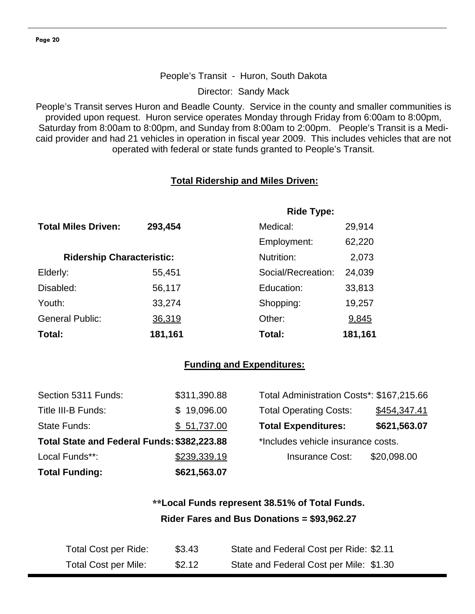#### People's Transit - Huron, South Dakota

Director: Sandy Mack

People's Transit serves Huron and Beadle County. Service in the county and smaller communities is provided upon request. Huron service operates Monday through Friday from 6:00am to 8:00pm, Saturday from 8:00am to 8:00pm, and Sunday from 8:00am to 2:00pm. People's Transit is a Medicaid provider and had 21 vehicles in operation in fiscal year 2009. This includes vehicles that are not operated with federal or state funds granted to People's Transit.

#### **Total Ridership and Miles Driven:**

|                                  |         | <b>Ride Type:</b>  |         |
|----------------------------------|---------|--------------------|---------|
| <b>Total Miles Driven:</b>       | 293,454 | Medical:           | 29,914  |
|                                  |         | Employment:        | 62,220  |
| <b>Ridership Characteristic:</b> |         | Nutrition:         | 2,073   |
| Elderly:                         | 55,451  | Social/Recreation: | 24,039  |
| Disabled:                        | 56,117  | Education:         | 33,813  |
| Youth:                           | 33,274  | Shopping:          | 19,257  |
| <b>General Public:</b>           | 36,319  | Other:             | 9,845   |
| Total:                           | 181,161 | Total:             | 181,161 |

#### **Funding and Expenditures:**

| Section 5311 Funds:                         | \$311,390.88 | Total Administration Costs*: \$167,215.66 |              |
|---------------------------------------------|--------------|-------------------------------------------|--------------|
| Title III-B Funds:                          | \$19,096.00  | <b>Total Operating Costs:</b>             | \$454,347.41 |
| <b>State Funds:</b>                         | \$51,737.00  | <b>Total Expenditures:</b>                | \$621,563.07 |
| Total State and Federal Funds: \$382,223.88 |              | *Includes vehicle insurance costs.        |              |
| Local Funds**:                              | \$239,339.19 | <b>Insurance Cost:</b>                    | \$20,098.00  |
| <b>Total Funding:</b>                       | \$621,563.07 |                                           |              |

## **\*\*Local Funds represent 38.51% of Total Funds. Rider Fares and Bus Donations = \$93,962.27**

| Total Cost per Ride: | \$3.43 | State and Federal Cost per Ride: \$2.11 |
|----------------------|--------|-----------------------------------------|
| Total Cost per Mile: | \$2.12 | State and Federal Cost per Mile: \$1.30 |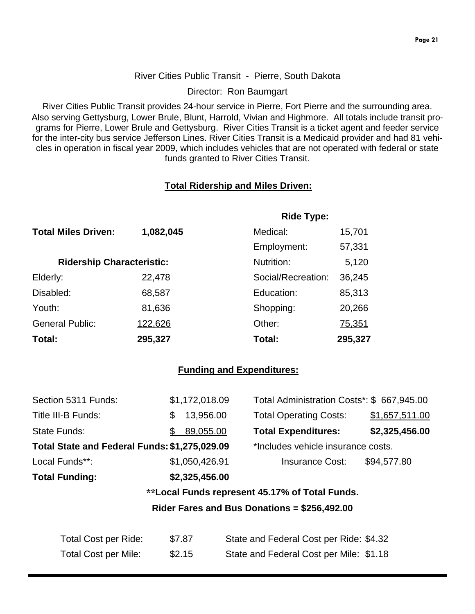#### **Page 21**

#### River Cities Public Transit - Pierre, South Dakota

Director: Ron Baumgart

River Cities Public Transit provides 24-hour service in Pierre, Fort Pierre and the surrounding area. Also serving Gettysburg, Lower Brule, Blunt, Harrold, Vivian and Highmore. All totals include transit programs for Pierre, Lower Brule and Gettysburg. River Cities Transit is a ticket agent and feeder service for the inter-city bus service Jefferson Lines. River Cities Transit is a Medicaid provider and had 81 vehicles in operation in fiscal year 2009, which includes vehicles that are not operated with federal or state funds granted to River Cities Transit.

#### **Total Ridership and Miles Driven:**

|                                  |           | <b>Ride Type:</b>  |         |
|----------------------------------|-----------|--------------------|---------|
| <b>Total Miles Driven:</b>       | 1,082,045 | Medical:           | 15,701  |
|                                  |           | Employment:        | 57,331  |
| <b>Ridership Characteristic:</b> |           | Nutrition:         | 5,120   |
| Elderly:                         | 22,478    | Social/Recreation: | 36,245  |
| Disabled:                        | 68,587    | Education:         | 85,313  |
| Youth:                           | 81,636    | Shopping:          | 20,266  |
| <b>General Public:</b>           | 122,626   | Other:             | 75,351  |
| Total:                           | 295,327   | Total:             | 295,327 |

#### **Funding and Expenditures:**

| Section 5311 Funds:                           | \$1,172,018.09 | Total Administration Costs*: \$ 667,945.00         |                |
|-----------------------------------------------|----------------|----------------------------------------------------|----------------|
| Title III-B Funds:                            | 13,956.00<br>S | <b>Total Operating Costs:</b>                      | \$1,657,511.00 |
| <b>State Funds:</b>                           | 89,055.00      | <b>Total Expenditures:</b>                         | \$2,325,456.00 |
| Total State and Federal Funds: \$1,275,029.09 |                | *Includes vehicle insurance costs.                 |                |
| Local Funds**:                                | \$1,050,426.91 | <b>Insurance Cost:</b>                             | \$94,577.80    |
| <b>Total Funding:</b>                         | \$2,325,456.00 |                                                    |                |
|                                               |                | aal sool Eurole nomes on (4E-470/ of Total Eurole) |                |

#### **\*\*Local Funds represent 45.17% of Total Funds.**

**Rider Fares and Bus Donations = \$256,492.00** 

| Total Cost per Ride:        | \$7.87 | State and Federal Cost per Ride: \$4.32 |
|-----------------------------|--------|-----------------------------------------|
| <b>Total Cost per Mile:</b> | \$2.15 | State and Federal Cost per Mile: \$1.18 |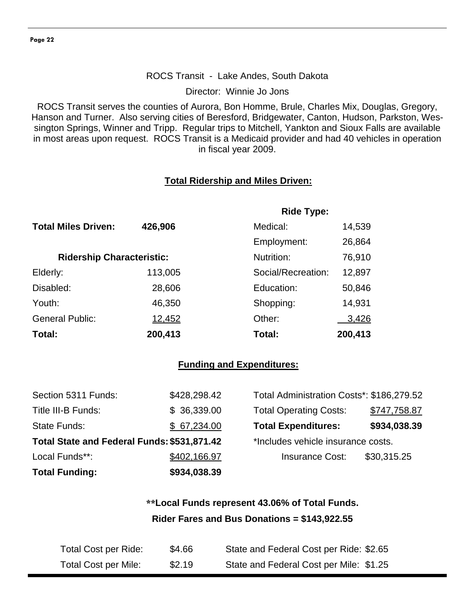#### ROCS Transit - Lake Andes, South Dakota

Director: Winnie Jo Jons

ROCS Transit serves the counties of Aurora, Bon Homme, Brule, Charles Mix, Douglas, Gregory, Hanson and Turner. Also serving cities of Beresford, Bridgewater, Canton, Hudson, Parkston, Wessington Springs, Winner and Tripp. Regular trips to Mitchell, Yankton and Sioux Falls are available in most areas upon request. ROCS Transit is a Medicaid provider and had 40 vehicles in operation in fiscal year 2009.

#### **Total Ridership and Miles Driven:**

|                                  |         | <b>Ride Type:</b>  |         |
|----------------------------------|---------|--------------------|---------|
| <b>Total Miles Driven:</b>       | 426,906 | Medical:           | 14,539  |
|                                  |         | Employment:        | 26,864  |
| <b>Ridership Characteristic:</b> |         | Nutrition:         | 76,910  |
| Elderly:                         | 113,005 | Social/Recreation: | 12,897  |
| Disabled:                        | 28,606  | Education:         | 50,846  |
| Youth:                           | 46,350  | Shopping:          | 14,931  |
| <b>General Public:</b>           | 12,452  | Other:             | 3,426   |
| Total:                           | 200,413 | Total:             | 200,413 |

#### **Funding and Expenditures:**

| Section 5311 Funds:                         | \$428,298.42 | Total Administration Costs*: \$186,279.52 |              |
|---------------------------------------------|--------------|-------------------------------------------|--------------|
| Title III-B Funds:                          | \$36,339.00  | <b>Total Operating Costs:</b>             | \$747,758.87 |
| <b>State Funds:</b>                         | \$67,234.00  | <b>Total Expenditures:</b>                | \$934,038.39 |
| Total State and Federal Funds: \$531,871.42 |              | *Includes vehicle insurance costs.        |              |
| Local Funds**:                              | \$402,166.97 | <b>Insurance Cost:</b>                    | \$30,315.25  |
| <b>Total Funding:</b>                       | \$934,038.39 |                                           |              |

## **\*\*Local Funds represent 43.06% of Total Funds. Rider Fares and Bus Donations = \$143,922.55**

| Total Cost per Ride:        | \$4.66 | State and Federal Cost per Ride: \$2.65 |
|-----------------------------|--------|-----------------------------------------|
| <b>Total Cost per Mile:</b> | \$2.19 | State and Federal Cost per Mile: \$1.25 |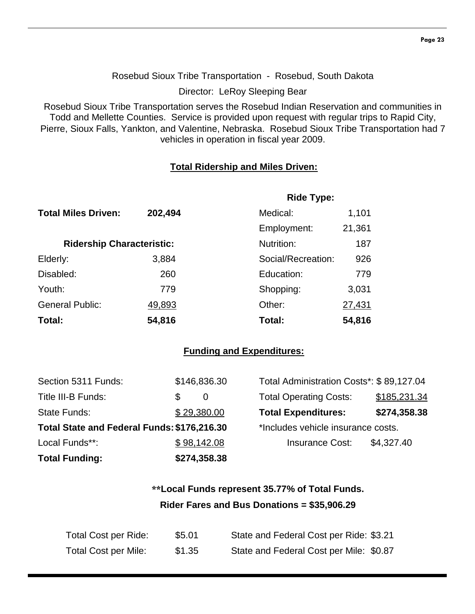Rosebud Sioux Tribe Transportation - Rosebud, South Dakota

Director: LeRoy Sleeping Bear

Rosebud Sioux Tribe Transportation serves the Rosebud Indian Reservation and communities in Todd and Mellette Counties. Service is provided upon request with regular trips to Rapid City, Pierre, Sioux Falls, Yankton, and Valentine, Nebraska. Rosebud Sioux Tribe Transportation had 7 vehicles in operation in fiscal year 2009.

#### **Total Ridership and Miles Driven:**

|                                  |         | <b>Ride Type:</b>  |        |
|----------------------------------|---------|--------------------|--------|
| <b>Total Miles Driven:</b>       | 202,494 | Medical:           | 1,101  |
|                                  |         | Employment:        | 21,361 |
| <b>Ridership Characteristic:</b> |         | Nutrition:         | 187    |
| Elderly:                         | 3,884   | Social/Recreation: | 926    |
| Disabled:                        | 260     | Education:         | 779    |
| Youth:                           | 779     | Shopping:          | 3,031  |
| <b>General Public:</b>           | 49,893  | Other:             | 27,431 |
| Total:                           | 54,816  | Total:             | 54,816 |

#### **Funding and Expenditures:**

| <b>Total Funding:</b>                       |             | \$274,358.38 |                                          |              |
|---------------------------------------------|-------------|--------------|------------------------------------------|--------------|
| Local Funds**:                              |             | \$98,142.08  | <b>Insurance Cost:</b>                   | \$4,327.40   |
| Total State and Federal Funds: \$176,216.30 |             |              | *Includes vehicle insurance costs.       |              |
| State Funds:                                | \$29,380.00 |              | <b>Total Expenditures:</b>               | \$274,358.38 |
| Title III-B Funds:                          | S           | $\theta$     | <b>Total Operating Costs:</b>            | \$185,231.34 |
| Section 5311 Funds:                         |             | \$146,836.30 | Total Administration Costs*: \$89,127.04 |              |

## **\*\*Local Funds represent 35.77% of Total Funds. Rider Fares and Bus Donations = \$35,906.29**

| Total Cost per Ride:        | \$5.01 | State and Federal Cost per Ride: \$3.21 |
|-----------------------------|--------|-----------------------------------------|
| <b>Total Cost per Mile:</b> | \$1.35 | State and Federal Cost per Mile: \$0.87 |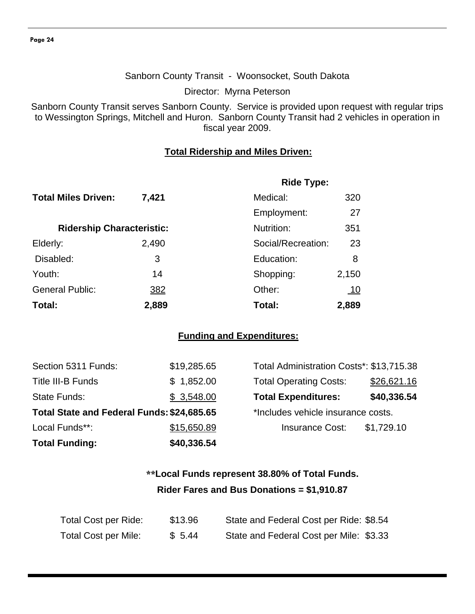#### Sanborn County Transit - Woonsocket, South Dakota

Director: Myrna Peterson

Sanborn County Transit serves Sanborn County. Service is provided upon request with regular trips to Wessington Springs, Mitchell and Huron. Sanborn County Transit had 2 vehicles in operation in fiscal year 2009.

#### **Total Ridership and Miles Driven:**

|                                  |            | <b>Ride Type:</b>  |            |  |
|----------------------------------|------------|--------------------|------------|--|
| <b>Total Miles Driven:</b>       | 7,421      | Medical:           | 320        |  |
|                                  |            | Employment:        | 27         |  |
| <b>Ridership Characteristic:</b> |            | Nutrition:         | 351        |  |
| Elderly:                         | 2,490      | Social/Recreation: | 23         |  |
| Disabled:                        | 3          | Education:         | 8          |  |
| Youth:                           | 14         | Shopping:          | 2,150      |  |
| <b>General Public:</b>           | <u>382</u> | Other:             | <u>_10</u> |  |
| Total:                           | 2,889      | Total:             | 2,889      |  |

#### **Funding and Expenditures:**

| <b>Total Funding:</b>                      | \$40,336.54 |                                          |             |
|--------------------------------------------|-------------|------------------------------------------|-------------|
| Local Funds**:                             | \$15,650.89 | <b>Insurance Cost:</b>                   | \$1,729.10  |
| Total State and Federal Funds: \$24,685.65 |             | *Includes vehicle insurance costs.       |             |
| <b>State Funds:</b>                        | \$3,548.00  | <b>Total Expenditures:</b>               | \$40,336.54 |
| <b>Title III-B Funds</b>                   | \$1,852.00  | <b>Total Operating Costs:</b>            | \$26,621.16 |
| Section 5311 Funds:                        | \$19,285.65 | Total Administration Costs*: \$13,715.38 |             |

| Total Administration Costs*: \$13,715.38 |             |
|------------------------------------------|-------------|
| <b>Total Operating Costs:</b>            | \$26,621.16 |
| <b>Total Expenditures:</b>               | \$40,336.54 |
| *Includes vehicle insurance costs.       |             |
| <b>Insurance Cost:</b>                   | \$1,729.10  |
|                                          |             |

## **\*\*Local Funds represent 38.80% of Total Funds. Rider Fares and Bus Donations = \$1,910.87**

| Total Cost per Ride: | \$13.96 | State and Federal Cost per Ride: \$8.54 |
|----------------------|---------|-----------------------------------------|
| Total Cost per Mile: | \$5.44  | State and Federal Cost per Mile: \$3.33 |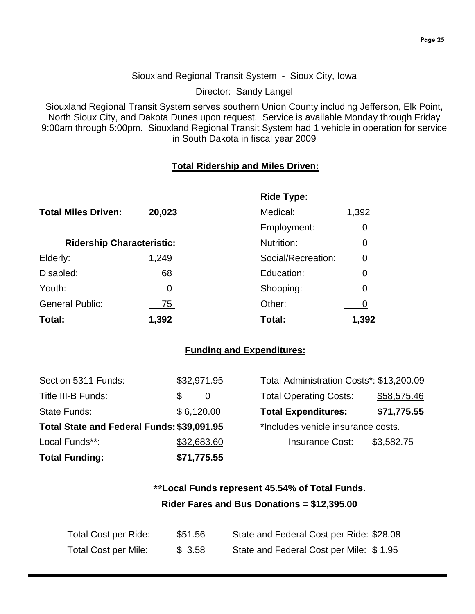#### Siouxland Regional Transit System - Sioux City, Iowa

Director: Sandy Langel

Siouxland Regional Transit System serves southern Union County including Jefferson, Elk Point, North Sioux City, and Dakota Dunes upon request. Service is available Monday through Friday 9:00am through 5:00pm. Siouxland Regional Transit System had 1 vehicle in operation for service in South Dakota in fiscal year 2009

#### **Total Ridership and Miles Driven:**

|                                  |        | <b>Ride Type:</b>  |                |
|----------------------------------|--------|--------------------|----------------|
| <b>Total Miles Driven:</b>       | 20,023 | Medical:           | 1,392          |
|                                  |        | Employment:        | 0              |
| <b>Ridership Characteristic:</b> |        | Nutrition:         | 0              |
| Elderly:                         | 1,249  | Social/Recreation: | $\overline{0}$ |
| Disabled:                        | 68     | Education:         | 0              |
| Youth:                           | 0      | Shopping:          | 0              |
| <b>General Public:</b>           | 75     | Other:             |                |
| Total:                           | 1,392  | Total:             | 1,392          |

#### **Funding and Expenditures:**

| Section 5311 Funds:                        | \$32,971.95 | Total Administration Costs*: \$13,200.09 |             |
|--------------------------------------------|-------------|------------------------------------------|-------------|
| Title III-B Funds:                         | \$.<br>0    | <b>Total Operating Costs:</b>            | \$58,575.46 |
| State Funds:                               | \$6,120.00  | <b>Total Expenditures:</b>               | \$71,775.55 |
| Total State and Federal Funds: \$39,091.95 |             | *Includes vehicle insurance costs.       |             |
| Local Funds**:                             | \$32,683.60 | <b>Insurance Cost:</b>                   | \$3,582.75  |
| <b>Total Funding:</b>                      | \$71,775.55 |                                          |             |

## **\*\*Local Funds represent 45.54% of Total Funds. Rider Fares and Bus Donations = \$12,395.00**

| Total Cost per Ride:        | \$51.56 | State and Federal Cost per Ride: \$28.08 |
|-----------------------------|---------|------------------------------------------|
| <b>Total Cost per Mile:</b> | \$3.58  | State and Federal Cost per Mile: \$1.95  |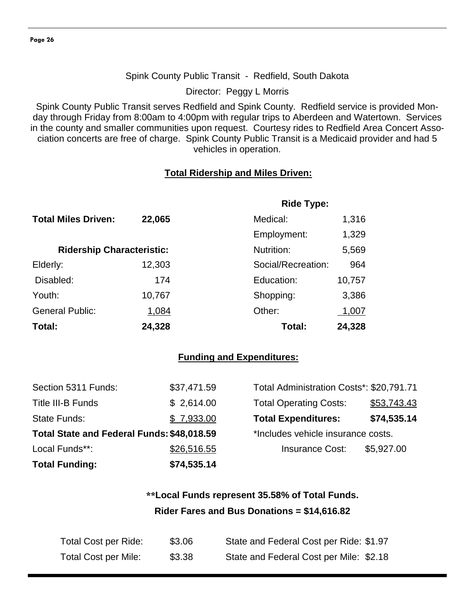#### Spink County Public Transit - Redfield, South Dakota

Director: Peggy L Morris

Spink County Public Transit serves Redfield and Spink County. Redfield service is provided Monday through Friday from 8:00am to 4:00pm with regular trips to Aberdeen and Watertown. Services in the county and smaller communities upon request. Courtesy rides to Redfield Area Concert Association concerts are free of charge. Spink County Public Transit is a Medicaid provider and had 5 vehicles in operation.

#### **Total Ridership and Miles Driven:**

|                                  |        | <b>Ride Type:</b>  |        |
|----------------------------------|--------|--------------------|--------|
| <b>Total Miles Driven:</b>       | 22,065 | Medical:           | 1,316  |
|                                  |        | Employment:        | 1,329  |
| <b>Ridership Characteristic:</b> |        | Nutrition:         | 5,569  |
| Elderly:                         | 12,303 | Social/Recreation: | 964    |
| Disabled:                        | 174    | Education:         | 10,757 |
| Youth:                           | 10,767 | Shopping:          | 3,386  |
| <b>General Public:</b>           | 1,084  | Other:             | 1,007  |
| Total:                           | 24,328 | Total:             | 24,328 |

#### **Funding and Expenditures:**

| <b>Total Funding:</b>                      | \$74,535.14 |                                          |             |
|--------------------------------------------|-------------|------------------------------------------|-------------|
| Local Funds**:                             | \$26,516.55 | <b>Insurance Cost:</b>                   | \$5,927.00  |
| Total State and Federal Funds: \$48,018.59 |             | *Includes vehicle insurance costs.       |             |
| State Funds:                               | \$7,933.00  | <b>Total Expenditures:</b>               | \$74,535.14 |
| Title III-B Funds                          | \$2,614.00  | <b>Total Operating Costs:</b>            | \$53,743.43 |
| Section 5311 Funds:                        | \$37,471.59 | Total Administration Costs*: \$20,791.71 |             |

## **\*\*Local Funds represent 35.58% of Total Funds. Rider Fares and Bus Donations = \$14,616.82**

| Total Cost per Ride: | \$3.06 | State and Federal Cost per Ride: \$1.97 |
|----------------------|--------|-----------------------------------------|
| Total Cost per Mile: | \$3.38 | State and Federal Cost per Mile: \$2.18 |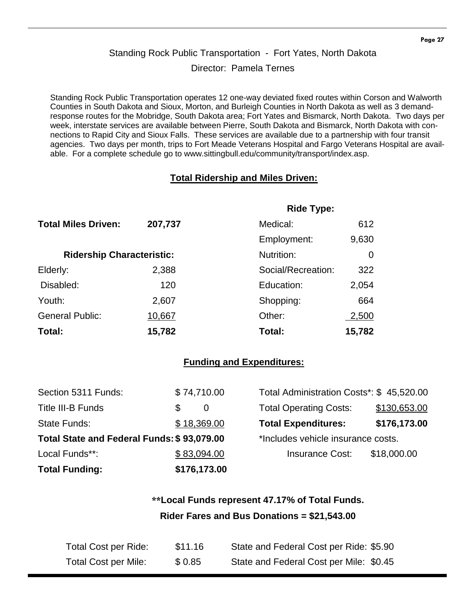## Standing Rock Public Transportation - Fort Yates, North Dakota Director: Pamela Ternes

Standing Rock Public Transportation operates 12 one-way deviated fixed routes within Corson and Walworth Counties in South Dakota and Sioux, Morton, and Burleigh Counties in North Dakota as well as 3 demandresponse routes for the Mobridge, South Dakota area; Fort Yates and Bismarck, North Dakota. Two days per week, interstate services are available between Pierre, South Dakota and Bismarck, North Dakota with connections to Rapid City and Sioux Falls. These services are available due to a partnership with four transit agencies. Two days per month, trips to Fort Meade Veterans Hospital and Fargo Veterans Hospital are available. For a complete schedule go to www.sittingbull.edu/community/transport/index.asp.

#### **Total Ridership and Miles Driven:**

|                                  |         | <b>Ride Type:</b>  |        |
|----------------------------------|---------|--------------------|--------|
| <b>Total Miles Driven:</b>       | 207,737 | Medical:           | 612    |
|                                  |         | Employment:        | 9,630  |
| <b>Ridership Characteristic:</b> |         | Nutrition:         | 0      |
| Elderly:                         | 2,388   | Social/Recreation: | 322    |
| Disabled:                        | 120     | Education:         | 2,054  |
| Youth:                           | 2,607   | Shopping:          | 664    |
| <b>General Public:</b>           | 10,667  | Other:             | 2,500  |
| Total:                           | 15,782  | Total:             | 15,782 |

#### **Funding and Expenditures:**

| <b>Total Funding:</b>                      | \$176,173.00 |                                          |              |
|--------------------------------------------|--------------|------------------------------------------|--------------|
| Local Funds**:                             | \$83,094.00  | <b>Insurance Cost:</b>                   | \$18,000.00  |
| Total State and Federal Funds: \$93,079.00 |              | *Includes vehicle insurance costs.       |              |
| State Funds:                               | \$18,369.00  | <b>Total Expenditures:</b>               | \$176,173.00 |
| Title III-B Funds                          | S<br>0       | <b>Total Operating Costs:</b>            | \$130,653.00 |
| Section 5311 Funds:                        | \$74,710.00  | Total Administration Costs*: \$45,520.00 |              |

## **\*\*Local Funds represent 47.17% of Total Funds. Rider Fares and Bus Donations = \$21,543.00**

| Total Cost per Ride: | \$11.16 | State and Federal Cost per Ride: \$5.90 |
|----------------------|---------|-----------------------------------------|
| Total Cost per Mile: | \$0.85  | State and Federal Cost per Mile: \$0.45 |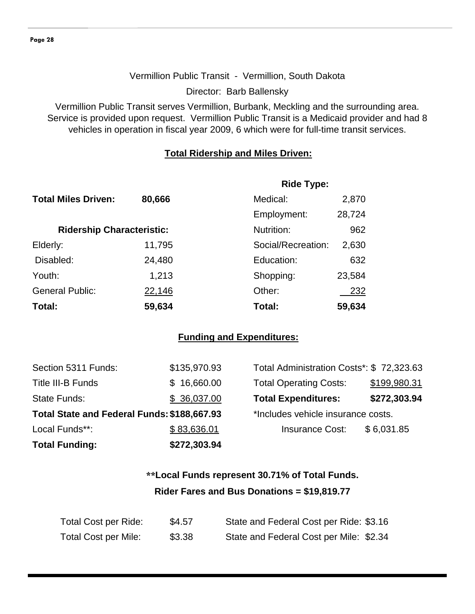#### Vermillion Public Transit - Vermillion, South Dakota

Director: Barb Ballensky

Vermillion Public Transit serves Vermillion, Burbank, Meckling and the surrounding area. Service is provided upon request. Vermillion Public Transit is a Medicaid provider and had 8 vehicles in operation in fiscal year 2009, 6 which were for full-time transit services.

#### **Total Ridership and Miles Driven:**

|                                  |        | <b>Ride Type:</b>  |        |
|----------------------------------|--------|--------------------|--------|
| <b>Total Miles Driven:</b>       | 80,666 | Medical:           | 2,870  |
|                                  |        | Employment:        | 28,724 |
| <b>Ridership Characteristic:</b> |        | Nutrition:         | 962    |
| Elderly:                         | 11,795 | Social/Recreation: | 2,630  |
| Disabled:                        | 24,480 | Education:         | 632    |
| Youth:                           | 1,213  | Shopping:          | 23,584 |
| <b>General Public:</b>           | 22,146 | Other:             | 232    |
| Total:                           | 59,634 | Total:             | 59,634 |

#### **Funding and Expenditures:**

| <b>Total Funding:</b>                       | \$272,303.94 |                                          |              |
|---------------------------------------------|--------------|------------------------------------------|--------------|
| Local Funds**:                              | \$83,636.01  | <b>Insurance Cost:</b>                   | \$6,031.85   |
| Total State and Federal Funds: \$188,667.93 |              | *Includes vehicle insurance costs.       |              |
| State Funds:                                | \$36,037.00  | <b>Total Expenditures:</b>               | \$272,303.94 |
| Title III-B Funds                           | \$16,660.00  | <b>Total Operating Costs:</b>            | \$199,980.31 |
| Section 5311 Funds:                         | \$135,970.93 | Total Administration Costs*: \$72,323.63 |              |

| Total Administration Costs*: \$72,323.63 |              |  |
|------------------------------------------|--------------|--|
| <b>Total Operating Costs:</b>            | \$199,980.31 |  |
| <b>Total Expenditures:</b>               | \$272,303.94 |  |
| *Includes vehicle insurance costs.       |              |  |
| <b>Insurance Cost:</b>                   | \$6,031.85   |  |
|                                          |              |  |

## **\*\*Local Funds represent 30.71% of Total Funds. Rider Fares and Bus Donations = \$19,819.77**

| Total Cost per Ride:        | \$4.57 | State and Federal Cost per Ride: \$3.16 |
|-----------------------------|--------|-----------------------------------------|
| <b>Total Cost per Mile:</b> | \$3.38 | State and Federal Cost per Mile: \$2.34 |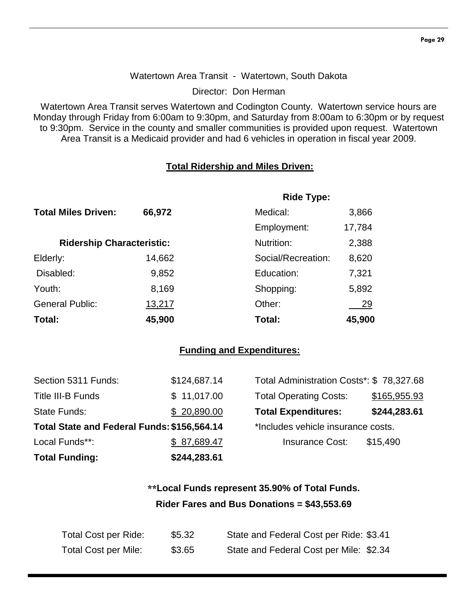#### Watertown Area Transit - Watertown, South Dakota

Director: Don Herman

Watertown Area Transit serves Watertown and Codington County. Watertown service hours are Monday through Friday from 6:00am to 9:30pm, and Saturday from 8:00am to 6:30pm or by request to 9:30pm. Service in the county and smaller communities is provided upon request. Watertown Area Transit is a Medicaid provider and had 6 vehicles in operation in fiscal year 2009.

#### **Total Ridership and Miles Driven:**

|                                  |        | <b>Ride Type:</b>  |        |
|----------------------------------|--------|--------------------|--------|
| <b>Total Miles Driven:</b>       | 66,972 | Medical:           | 3,866  |
|                                  |        | Employment:        | 17,784 |
| <b>Ridership Characteristic:</b> |        | Nutrition:         | 2,388  |
| Elderly:                         | 14,662 | Social/Recreation: | 8,620  |
| Disabled:                        | 9,852  | Education:         | 7,321  |
| Youth:                           | 8,169  | Shopping:          | 5,892  |
| <b>General Public:</b>           | 13,217 | Other:             | 29     |
| Total:                           | 45,900 | Total:             | 45,900 |

#### **Funding and Expenditures:**

| Section 5311 Funds:                         | \$124,687.14 | Total Administration Costs*: \$78,327.68 |              |
|---------------------------------------------|--------------|------------------------------------------|--------------|
| <b>Title III-B Funds</b>                    | \$11,017.00  | <b>Total Operating Costs:</b>            | \$165,955.93 |
| <b>State Funds:</b>                         | \$20,890.00  | <b>Total Expenditures:</b>               | \$244,283.61 |
| Total State and Federal Funds: \$156,564.14 |              | *Includes vehicle insurance costs.       |              |
| Local Funds**:                              | \$87,689.47  | <b>Insurance Cost:</b>                   | \$15,490     |
| <b>Total Funding:</b>                       | \$244,283.61 |                                          |              |

## **\*\*Local Funds represent 35.90% of Total Funds. Rider Fares and Bus Donations = \$43,553.69**

| Total Cost per Ride:        | \$5.32 | State and Federal Cost per Ride: \$3.41 |
|-----------------------------|--------|-----------------------------------------|
| <b>Total Cost per Mile:</b> | \$3.65 | State and Federal Cost per Mile: \$2.34 |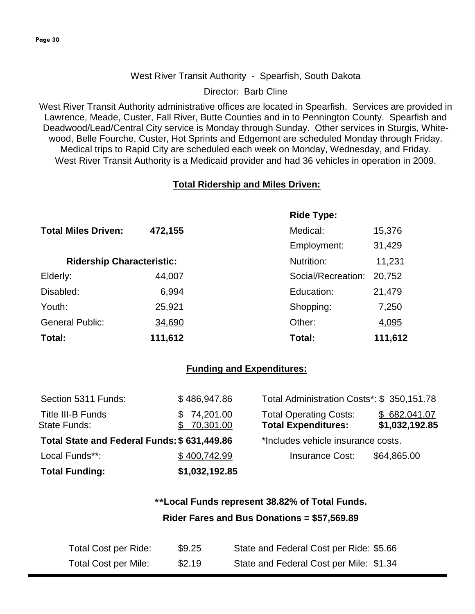#### West River Transit Authority - Spearfish, South Dakota

Director: Barb Cline

West River Transit Authority administrative offices are located in Spearfish. Services are provided in Lawrence, Meade, Custer, Fall River, Butte Counties and in to Pennington County. Spearfish and Deadwood/Lead/Central City service is Monday through Sunday. Other services in Sturgis, Whitewood, Belle Fourche, Custer, Hot Sprints and Edgemont are scheduled Monday through Friday. Medical trips to Rapid City are scheduled each week on Monday, Wednesday, and Friday. West River Transit Authority is a Medicaid provider and had 36 vehicles in operation in 2009.

#### **Total Ridership and Miles Driven:**

|                                  |         | <b>Ride Type:</b>  |         |
|----------------------------------|---------|--------------------|---------|
| <b>Total Miles Driven:</b>       | 472,155 | Medical:           | 15,376  |
|                                  |         | Employment:        | 31,429  |
| <b>Ridership Characteristic:</b> |         | Nutrition:         | 11,231  |
| Elderly:                         | 44,007  | Social/Recreation: | 20,752  |
| Disabled:                        | 6,994   | Education:         | 21,479  |
| Youth:                           | 25,921  | Shopping:          | 7,250   |
| <b>General Public:</b>           | 34,690  | Other:             | 4,095   |
| Total:                           | 111,612 | Total:             | 111,612 |

#### **Funding and Expenditures:**

| <b>Total Funding:</b>                       | \$1,032,192.85             |                                                             |                                |
|---------------------------------------------|----------------------------|-------------------------------------------------------------|--------------------------------|
| Local Funds**:                              | \$400,742.99               | <b>Insurance Cost:</b>                                      | \$64,865.00                    |
| Total State and Federal Funds: \$631,449.86 |                            | *Includes vehicle insurance costs.                          |                                |
| Title III-B Funds<br><b>State Funds:</b>    | \$74,201.00<br>\$70,301.00 | <b>Total Operating Costs:</b><br><b>Total Expenditures:</b> | \$682,041.07<br>\$1,032,192.85 |
| Section 5311 Funds:                         | \$486,947.86               | Total Administration Costs*: \$350,151.78                   |                                |

## **\*\*Local Funds represent 38.82% of Total Funds. Rider Fares and Bus Donations = \$57,569.89**

| Total Cost per Ride:        | \$9.25 | State and Federal Cost per Ride: \$5.66 |
|-----------------------------|--------|-----------------------------------------|
| <b>Total Cost per Mile:</b> | \$2.19 | State and Federal Cost per Mile: \$1.34 |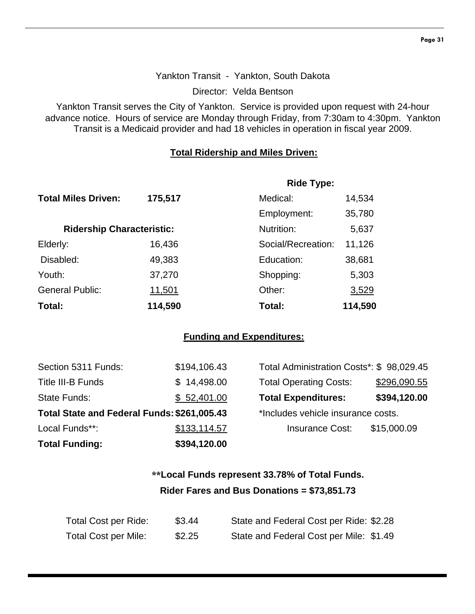#### Yankton Transit - Yankton, South Dakota

Director: Velda Bentson

Yankton Transit serves the City of Yankton. Service is provided upon request with 24-hour advance notice. Hours of service are Monday through Friday, from 7:30am to 4:30pm. Yankton Transit is a Medicaid provider and had 18 vehicles in operation in fiscal year 2009.

#### **Total Ridership and Miles Driven:**

|                                  |         | <b>Ride Type:</b>  |         |
|----------------------------------|---------|--------------------|---------|
| <b>Total Miles Driven:</b>       | 175,517 | Medical:           | 14,534  |
|                                  |         | Employment:        | 35,780  |
| <b>Ridership Characteristic:</b> |         | Nutrition:         | 5,637   |
| Elderly:                         | 16,436  | Social/Recreation: | 11,126  |
| Disabled:                        | 49,383  | Education:         | 38,681  |
| Youth:                           | 37,270  | Shopping:          | 5,303   |
| <b>General Public:</b>           | 11,501  | Other:             | 3,529   |
| Total:                           | 114,590 | Total:             | 114,590 |

#### **Funding and Expenditures:**

| Section 5311 Funds:                         | \$194,106.43 | Total Administration Costs*: \$98,029.45 |              |
|---------------------------------------------|--------------|------------------------------------------|--------------|
| Title III-B Funds                           | \$14,498.00  | <b>Total Operating Costs:</b>            | \$296,090.55 |
| State Funds:                                | \$52,401.00  | <b>Total Expenditures:</b>               | \$394,120.00 |
| Total State and Federal Funds: \$261,005.43 |              | *Includes vehicle insurance costs.       |              |
| Local Funds**:                              | \$133,114.57 | <b>Insurance Cost:</b>                   | \$15,000.09  |
| <b>Total Funding:</b>                       | \$394,120.00 |                                          |              |

## **\*\*Local Funds represent 33.78% of Total Funds. Rider Fares and Bus Donations = \$73,851.73**

| Total Cost per Ride: | \$3.44 | State and Federal Cost per Ride: \$2.28 |
|----------------------|--------|-----------------------------------------|
| Total Cost per Mile: | \$2.25 | State and Federal Cost per Mile: \$1.49 |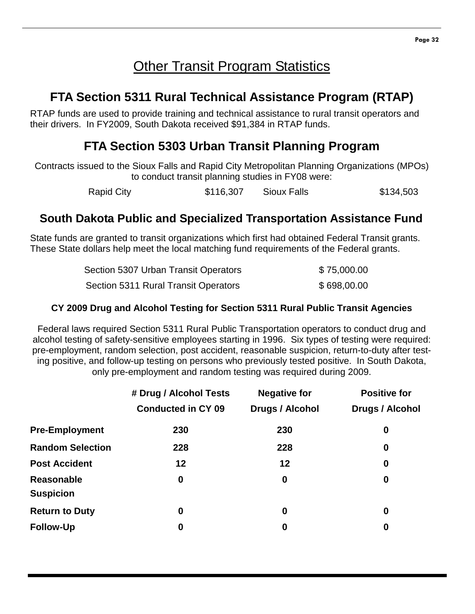# **Other Transit Program Statistics**

# **FTA Section 5311 Rural Technical Assistance Program (RTAP)**

RTAP funds are used to provide training and technical assistance to rural transit operators and their drivers. In FY2009, South Dakota received \$91,384 in RTAP funds.

# **FTA Section 5303 Urban Transit Planning Program**

Contracts issued to the Sioux Falls and Rapid City Metropolitan Planning Organizations (MPOs) to conduct transit planning studies in FY08 were:

Rapid City **\$116,307** Sioux Falls \$134,503

## **South Dakota Public and Specialized Transportation Assistance Fund**

State funds are granted to transit organizations which first had obtained Federal Transit grants. These State dollars help meet the local matching fund requirements of the Federal grants.

| Section 5307 Urban Transit Operators | \$75,000.00 |
|--------------------------------------|-------------|
| Section 5311 Rural Transit Operators | \$698,00.00 |

#### **CY 2009 Drug and Alcohol Testing for Section 5311 Rural Public Transit Agencies**

Federal laws required Section 5311 Rural Public Transportation operators to conduct drug and alcohol testing of safety-sensitive employees starting in 1996. Six types of testing were required: pre-employment, random selection, post accident, reasonable suspicion, return-to-duty after testing positive, and follow-up testing on persons who previously tested positive. In South Dakota, only pre-employment and random testing was required during 2009.

|                                       | # Drug / Alcohol Tests    | <b>Negative for</b> | <b>Positive for</b>    |
|---------------------------------------|---------------------------|---------------------|------------------------|
|                                       | <b>Conducted in CY 09</b> | Drugs / Alcohol     | <b>Drugs / Alcohol</b> |
| <b>Pre-Employment</b>                 | 230                       | 230                 | 0                      |
| <b>Random Selection</b>               | 228                       | 228                 | $\boldsymbol{0}$       |
| <b>Post Accident</b>                  | 12                        | 12                  | $\boldsymbol{0}$       |
| <b>Reasonable</b><br><b>Suspicion</b> | $\boldsymbol{0}$          | 0                   | $\boldsymbol{0}$       |
| <b>Return to Duty</b>                 | $\boldsymbol{0}$          | 0                   | $\boldsymbol{0}$       |
| <b>Follow-Up</b>                      | 0                         | 0                   | 0                      |